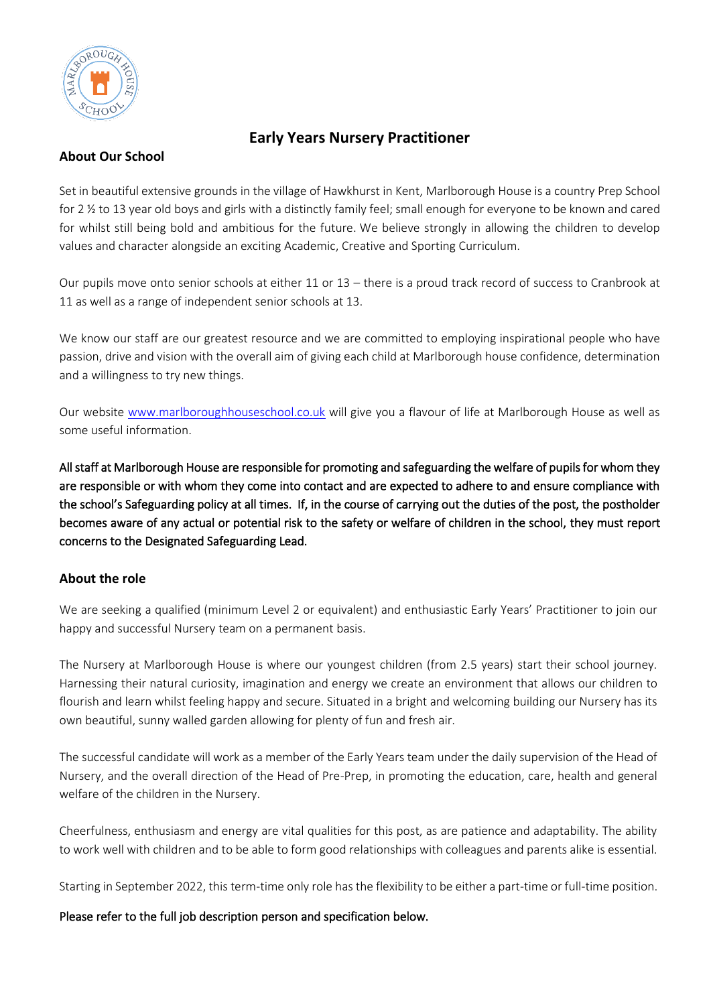

# **Early Years Nursery Practitioner**

### **About Our School**

Set in beautiful extensive grounds in the village of Hawkhurst in Kent, Marlborough House is a country Prep School for 2 ½ to 13 year old boys and girls with a distinctly family feel; small enough for everyone to be known and cared for whilst still being bold and ambitious for the future. We believe strongly in allowing the children to develop values and character alongside an exciting Academic, Creative and Sporting Curriculum.

Our pupils move onto senior schools at either 11 or 13 – there is a proud track record of success to Cranbrook at 11 as well as a range of independent senior schools at 13.

We know our staff are our greatest resource and we are committed to employing inspirational people who have passion, drive and vision with the overall aim of giving each child at Marlborough house confidence, determination and a willingness to try new things.

Our website [www.marlboroughhouseschool.co.uk](http://www.marlboroughhouseschool.co.uk/) will give you a flavour of life at Marlborough House as well as some useful information.

All staff at Marlborough House are responsible for promoting and safeguarding the welfare of pupils for whom they are responsible or with whom they come into contact and are expected to adhere to and ensure compliance with the school's Safeguarding policy at all times. If, in the course of carrying out the duties of the post, the postholder becomes aware of any actual or potential risk to the safety or welfare of children in the school, they must report concerns to the Designated Safeguarding Lead.

# **About the role**

We are seeking a qualified (minimum Level 2 or equivalent) and enthusiastic Early Years' Practitioner to join our happy and successful Nursery team on a permanent basis.

The Nursery at Marlborough House is where our youngest children (from 2.5 years) start their school journey. Harnessing their natural curiosity, imagination and energy we create an environment that allows our children to flourish and learn whilst feeling happy and secure. Situated in a bright and welcoming building our Nursery has its own beautiful, sunny walled garden allowing for plenty of fun and fresh air.

The successful candidate will work as a member of the Early Years team under the daily supervision of the Head of Nursery, and the overall direction of the Head of Pre-Prep, in promoting the education, care, health and general welfare of the children in the Nursery.

Cheerfulness, enthusiasm and energy are vital qualities for this post, as are patience and adaptability. The ability to work well with children and to be able to form good relationships with colleagues and parents alike is essential.

Starting in September 2022, this term-time only role has the flexibility to be either a part-time or full-time position.

#### Please refer to the full job description person and specification below.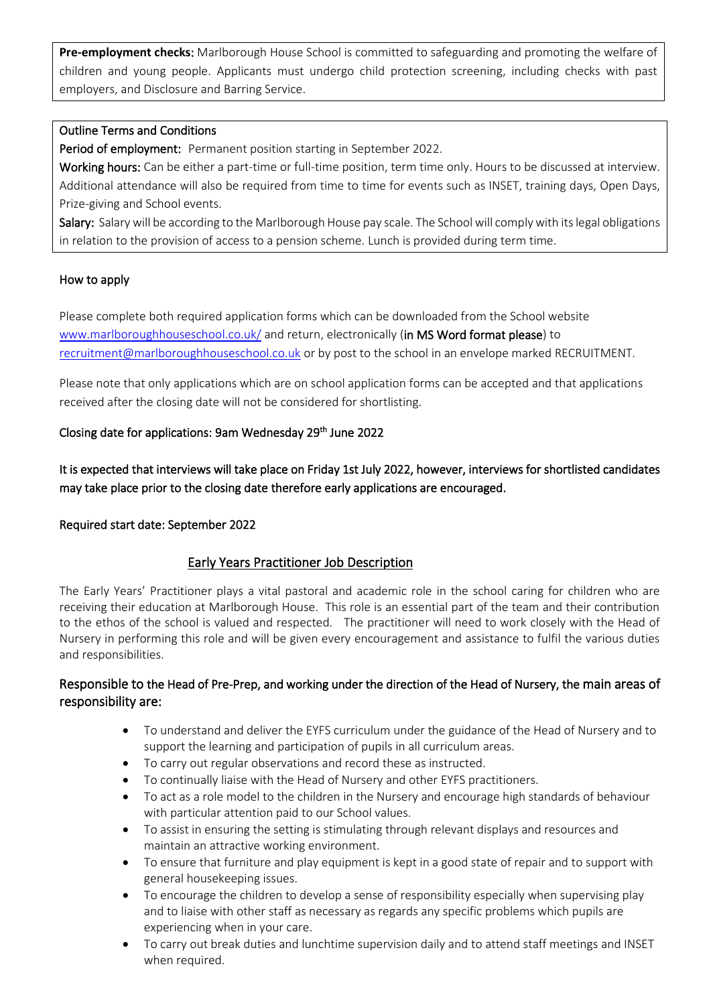**Pre-employment checks**: Marlborough House School is committed to safeguarding and promoting the welfare of children and young people. Applicants must undergo child protection screening, including checks with past employers, and Disclosure and Barring Service.

### Outline Terms and Conditions

Period of employment: Permanent position starting in September 2022.

Working hours: Can be either a part-time or full-time position, term time only. Hours to be discussed at interview. Additional attendance will also be required from time to time for events such as INSET, training days, Open Days, Prize-giving and School events.

Salary: Salary will be according to the Marlborough House pay scale. The School will comply with its legal obligations in relation to the provision of access to a pension scheme. Lunch is provided during term time.

#### How to apply

Please complete both required application forms which can be downloaded from the School website [www.marlboroughhouseschool.co.uk/](http://www.marlboroughhouseschool.co.uk/staffvacancies) and return, electronically (in MS Word format please) to [recruitment@marlboroughhouseschool.co.uk](mailto:recruitment@marlboroughhouseschool.co.uk) or by post to the school in an envelope marked RECRUITMENT.

Please note that only applications which are on school application forms can be accepted and that applications received after the closing date will not be considered for shortlisting.

# Closing date for applications: 9am Wednesday 29<sup>th</sup> June 2022

It is expected that interviews will take place on Friday 1st July 2022, however, interviews for shortlisted candidates may take place prior to the closing date therefore early applications are encouraged.

#### Required start date: September 2022

# Early Years Practitioner Job Description

The Early Years' Practitioner plays a vital pastoral and academic role in the school caring for children who are receiving their education at Marlborough House. This role is an essential part of the team and their contribution to the ethos of the school is valued and respected. The practitioner will need to work closely with the Head of Nursery in performing this role and will be given every encouragement and assistance to fulfil the various duties and responsibilities.

# Responsible to the Head of Pre-Prep, and working under the direction of the Head of Nursery, the main areas of responsibility are:

- To understand and deliver the EYFS curriculum under the guidance of the Head of Nursery and to support the learning and participation of pupils in all curriculum areas.
- To carry out regular observations and record these as instructed.
- To continually liaise with the Head of Nursery and other EYFS practitioners.
- To act as a role model to the children in the Nursery and encourage high standards of behaviour with particular attention paid to our School values.
- To assist in ensuring the setting is stimulating through relevant displays and resources and maintain an attractive working environment.
- To ensure that furniture and play equipment is kept in a good state of repair and to support with general housekeeping issues.
- To encourage the children to develop a sense of responsibility especially when supervising play and to liaise with other staff as necessary as regards any specific problems which pupils are experiencing when in your care.
- To carry out break duties and lunchtime supervision daily and to attend staff meetings and INSET when required.